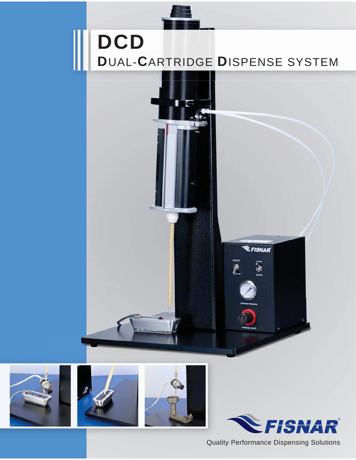# **DCD D**UAL-**C**ARTRIDGE **D**ISPENSE SYSTEM

 $\blacksquare$ 









Quality Performance Dispensing Solutions

**EFISNAR** 

i, a